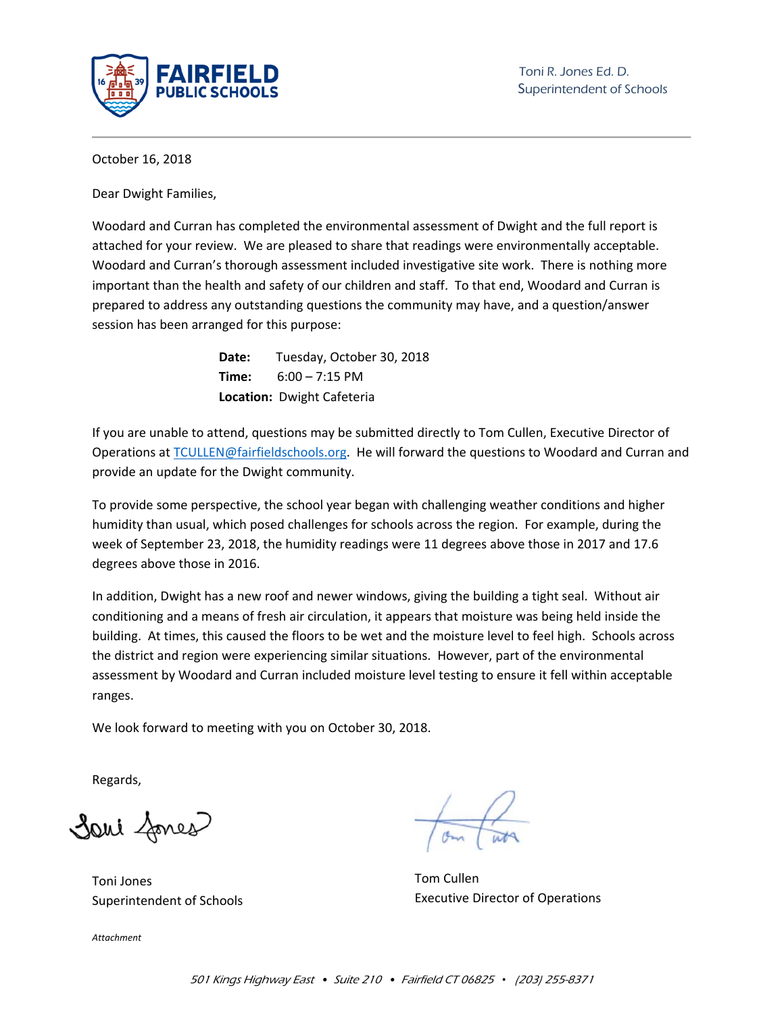

October 16, 2018

Dear Dwight Families,

Woodard and Curran has completed the environmental assessment of Dwight and the full report is attached for your review. We are pleased to share that readings were environmentally acceptable. Woodard and Curran's thorough assessment included investigative site work. There is nothing more important than the health and safety of our children and staff. To that end, Woodard and Curran is prepared to address any outstanding questions the community may have, and a question/answer session has been arranged for this purpose:

> **Date:** Tuesday, October 30, 2018 **Time:** 6:00 – 7:15 PM **Location:** Dwight Cafeteria

If you are unable to attend, questions may be submitted directly to Tom Cullen, Executive Director of Operations at TCULLEN@fairfieldschools.org. He will forward the questions to Woodard and Curran and provide an update for the Dwight community.

To provide some perspective, the school year began with challenging weather conditions and higher humidity than usual, which posed challenges for schools across the region. For example, during the week of September 23, 2018, the humidity readings were 11 degrees above those in 2017 and 17.6 degrees above those in 2016.

In addition, Dwight has a new roof and newer windows, giving the building a tight seal. Without air conditioning and a means of fresh air circulation, it appears that moisture was being held inside the building. At times, this caused the floors to be wet and the moisture level to feel high. Schools across the district and region were experiencing similar situations. However, part of the environmental assessment by Woodard and Curran included moisture level testing to ensure it fell within acceptable ranges.

We look forward to meeting with you on October 30, 2018.

Regards,

Sani fones

Toni Jones Superintendent of Schools

*Attachment* 

Tom Cullen Executive Director of Operations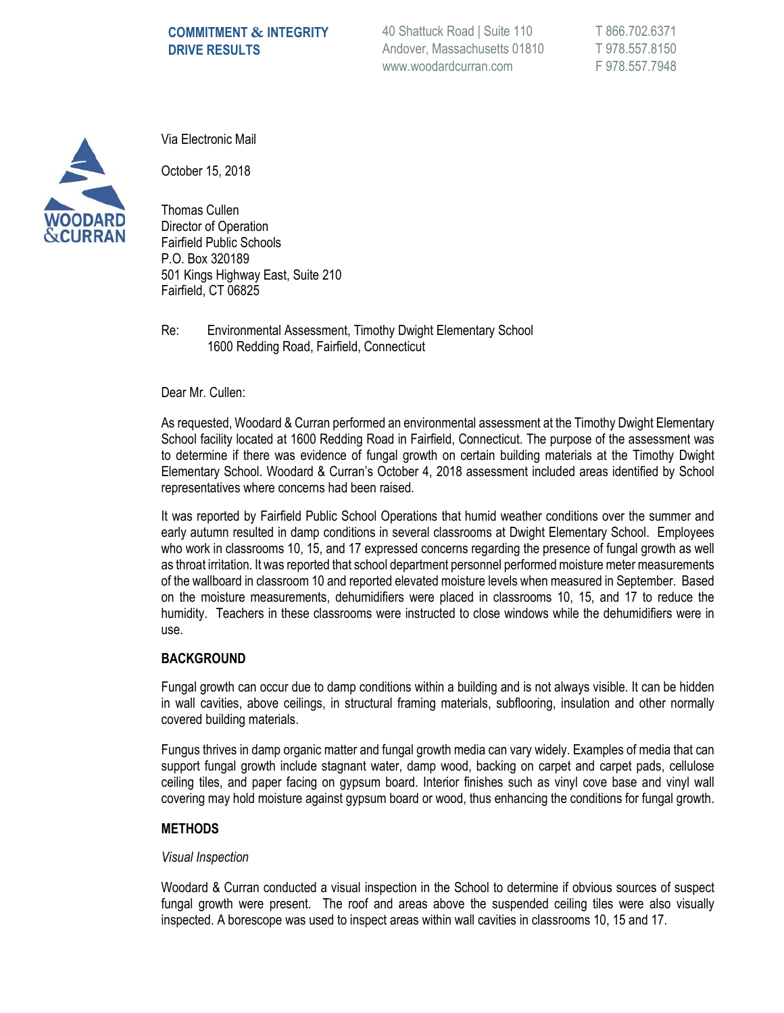### **COMMITMENT & INTEGRITY DRIVE RESULTS**

40 Shattuck Road | Suite 110 Andover, Massachusetts 01810 www.woodardcurran.com

T 866.702.6371 T 978.557.8150 F 978.557.7948



Via Electronic Mail

October 15, 2018

Thomas Cullen Director of Operation Fairfield Public Schools P.O. Box 320189 501 Kings Highway East, Suite 210 Fairfield, CT 06825

Re: Environmental Assessment, Timothy Dwight Elementary School 1600 Redding Road, Fairfield, Connecticut

Dear Mr. Cullen:

As requested, Woodard & Curran performed an environmental assessment at the Timothy Dwight Elementary School facility located at 1600 Redding Road in Fairfield, Connecticut. The purpose of the assessment was to determine if there was evidence of fungal growth on certain building materials at the Timothy Dwight Elementary School. Woodard & Curran's October 4, 2018 assessment included areas identified by School representatives where concerns had been raised.

It was reported by Fairfield Public School Operations that humid weather conditions over the summer and early autumn resulted in damp conditions in several classrooms at Dwight Elementary School. Employees who work in classrooms 10, 15, and 17 expressed concerns regarding the presence of fungal growth as well as throat irritation. It was reported that school department personnel performed moisture meter measurements of the wallboard in classroom 10 and reported elevated moisture levels when measured in September. Based on the moisture measurements, dehumidifiers were placed in classrooms 10, 15, and 17 to reduce the humidity. Teachers in these classrooms were instructed to close windows while the dehumidifiers were in use.

#### **BACKGROUND**

Fungal growth can occur due to damp conditions within a building and is not always visible. It can be hidden in wall cavities, above ceilings, in structural framing materials, subflooring, insulation and other normally covered building materials.

Fungus thrives in damp organic matter and fungal growth media can vary widely. Examples of media that can support fungal growth include stagnant water, damp wood, backing on carpet and carpet pads, cellulose ceiling tiles, and paper facing on gypsum board. Interior finishes such as vinyl cove base and vinyl wall covering may hold moisture against gypsum board or wood, thus enhancing the conditions for fungal growth.

#### **METHODS**

#### *Visual Inspection*

Woodard & Curran conducted a visual inspection in the School to determine if obvious sources of suspect fungal growth were present. The roof and areas above the suspended ceiling tiles were also visually inspected. A borescope was used to inspect areas within wall cavities in classrooms 10, 15 and 17.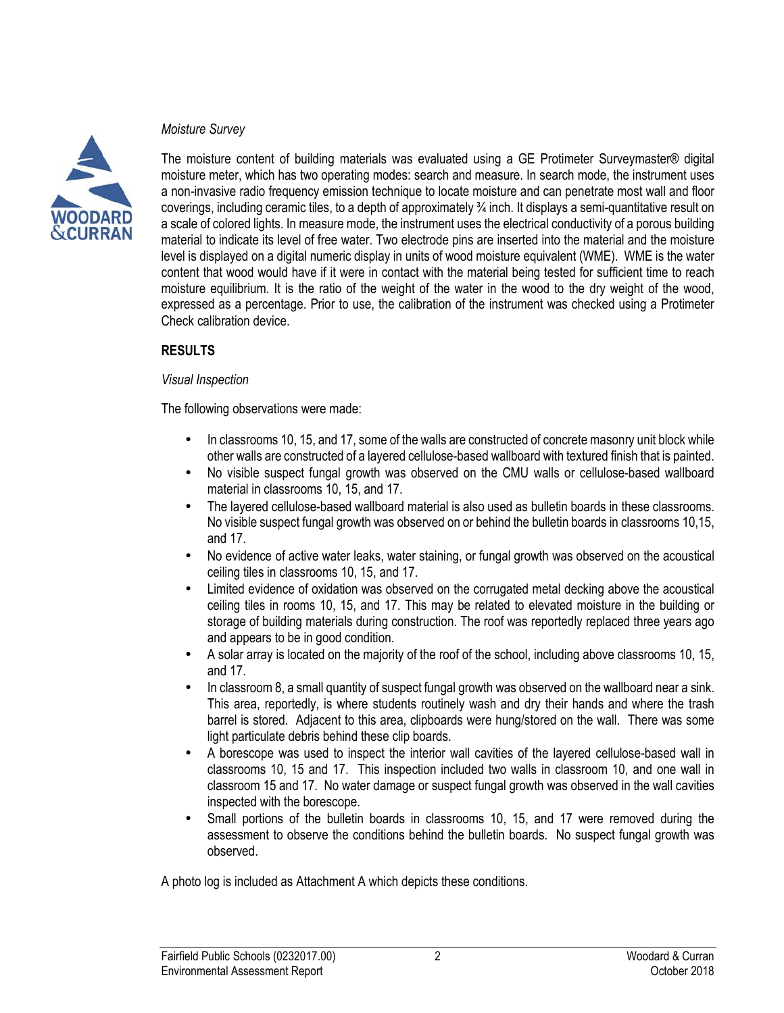### *Moisture Survey*



The moisture content of building materials was evaluated using a GE Protimeter Surveymaster® digital moisture meter, which has two operating modes: search and measure. In search mode, the instrument uses a non-invasive radio frequency emission technique to locate moisture and can penetrate most wall and floor coverings, including ceramic tiles, to a depth of approximately ¾ inch. It displays a semi-quantitative result on a scale of colored lights. In measure mode, the instrument uses the electrical conductivity of a porous building material to indicate its level of free water. Two electrode pins are inserted into the material and the moisture level is displayed on a digital numeric display in units of wood moisture equivalent (WME). WME is the water content that wood would have if it were in contact with the material being tested for sufficient time to reach moisture equilibrium. It is the ratio of the weight of the water in the wood to the dry weight of the wood, expressed as a percentage. Prior to use, the calibration of the instrument was checked using a Protimeter Check calibration device.

### **RESULTS**

### *Visual Inspection*

The following observations were made:

- In classrooms 10, 15, and 17, some of the walls are constructed of concrete masonry unit block while other walls are constructed of a layered cellulose-based wallboard with textured finish that is painted.
- No visible suspect fungal growth was observed on the CMU walls or cellulose-based wallboard material in classrooms 10, 15, and 17.
- The layered cellulose-based wallboard material is also used as bulletin boards in these classrooms. No visible suspect fungal growth was observed on or behind the bulletin boards in classrooms 10,15, and 17.
- No evidence of active water leaks, water staining, or fungal growth was observed on the acoustical ceiling tiles in classrooms 10, 15, and 17.
- Limited evidence of oxidation was observed on the corrugated metal decking above the acoustical ceiling tiles in rooms 10, 15, and 17. This may be related to elevated moisture in the building or storage of building materials during construction. The roof was reportedly replaced three vears ago and appears to be in good condition.
- A solar array is located on the majority of the roof of the school, including above classrooms 10, 15, and 17.
- In classroom 8, a small quantity of suspect fungal growth was observed on the wallboard near a sink. This area, reportedly, is where students routinely wash and dry their hands and where the trash barrel is stored. Adjacent to this area, clipboards were hung/stored on the wall. There was some light particulate debris behind these clip boards.
- A borescope was used to inspect the interior wall cavities of the layered cellulose-based wall in classrooms 10, 15 and 17. This inspection included two walls in classroom 10, and one wall in classroom 15 and 17. No water damage or suspect fungal growth was observed in the wall cavities inspected with the borescope.
- Small portions of the bulletin boards in classrooms 10, 15, and 17 were removed during the assessment to observe the conditions behind the bulletin boards. No suspect fungal growth was observed.

A photo log is included as Attachment A which depicts these conditions.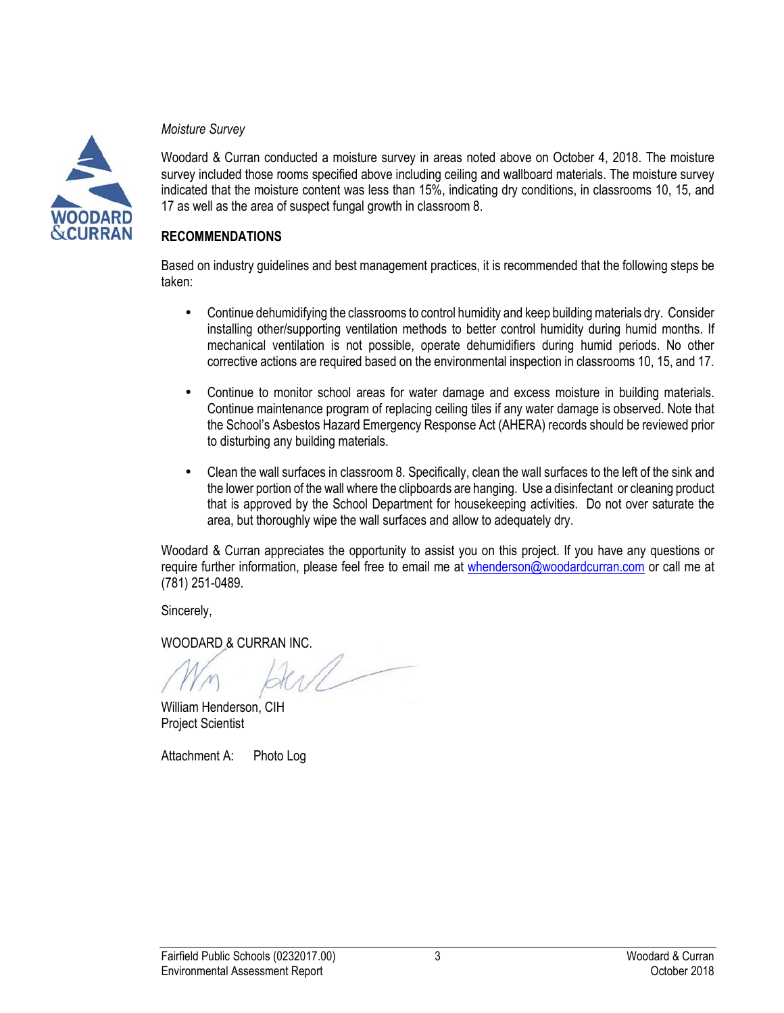### *Moisture Survey*



Woodard & Curran conducted a moisture survey in areas noted above on October 4, 2018. The moisture survey included those rooms specified above including ceiling and wallboard materials. The moisture survey indicated that the moisture content was less than 15%, indicating dry conditions, in classrooms 10, 15, and 17 as well as the area of suspect fungal growth in classroom 8.

### **RECOMMENDATIONS**

Based on industry guidelines and best management practices, it is recommended that the following steps be taken:

- Continue dehumidifying the classrooms to control humidity and keep building materials dry. Consider installing other/supporting ventilation methods to better control humidity during humid months. If mechanical ventilation is not possible, operate dehumidifiers during humid periods. No other corrective actions are required based on the environmental inspection in classrooms 10, 15, and 17.
- Continue to monitor school areas for water damage and excess moisture in building materials. Continue maintenance program of replacing ceiling tiles if any water damage is observed. Note that the School's Asbestos Hazard Emergency Response Act (AHERA) records should be reviewed prior to disturbing any building materials.
- Clean the wall surfaces in classroom 8. Specifically, clean the wall surfaces to the left of the sink and the lower portion of the wall where the clipboards are hanging. Use a disinfectant or cleaning product that is approved by the School Department for housekeeping activities. Do not over saturate the area, but thoroughly wipe the wall surfaces and allow to adequately dry.

Woodard & Curran appreciates the opportunity to assist you on this project. If you have any questions or require further information, please feel free to email me at whenderson@woodardcurran.com or call me at (781) 251-0489.

Sincerely,

WOODARD & CURRAN INC.

William Henderson, CIH Project Scientist

Attachment A: Photo Log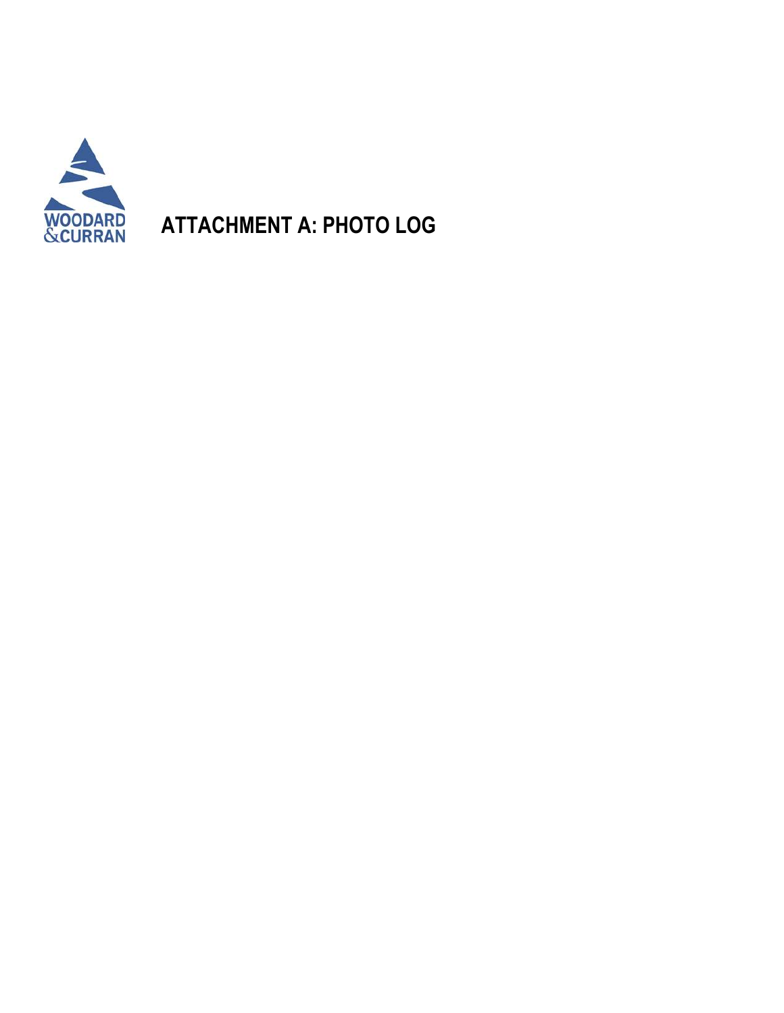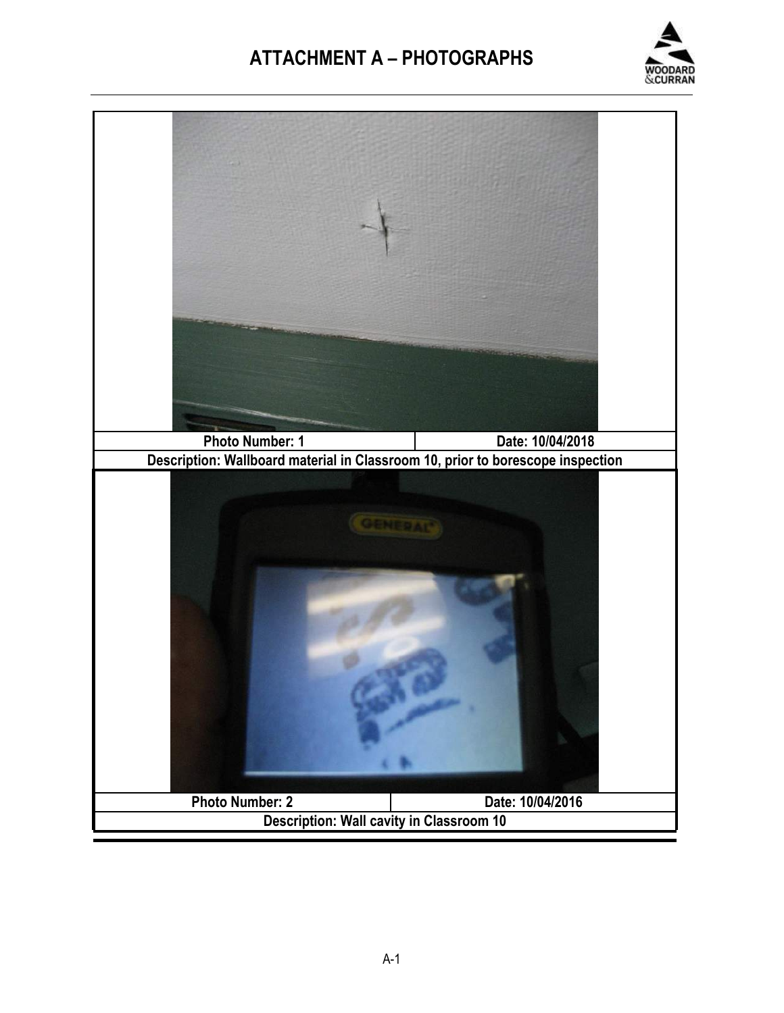

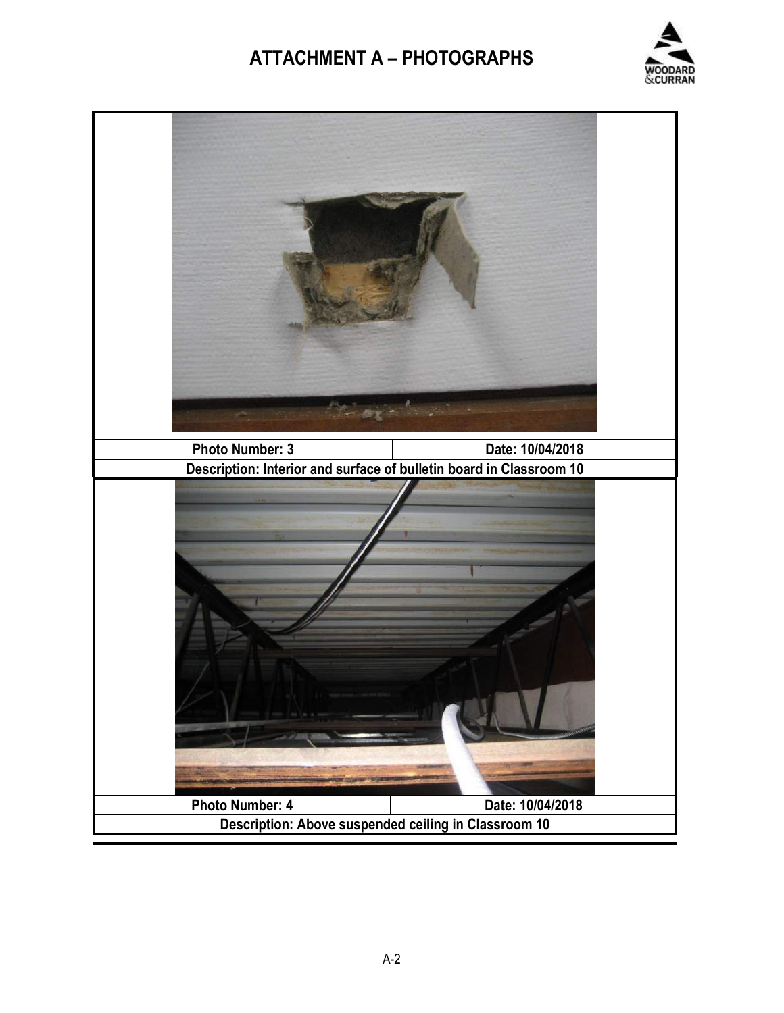

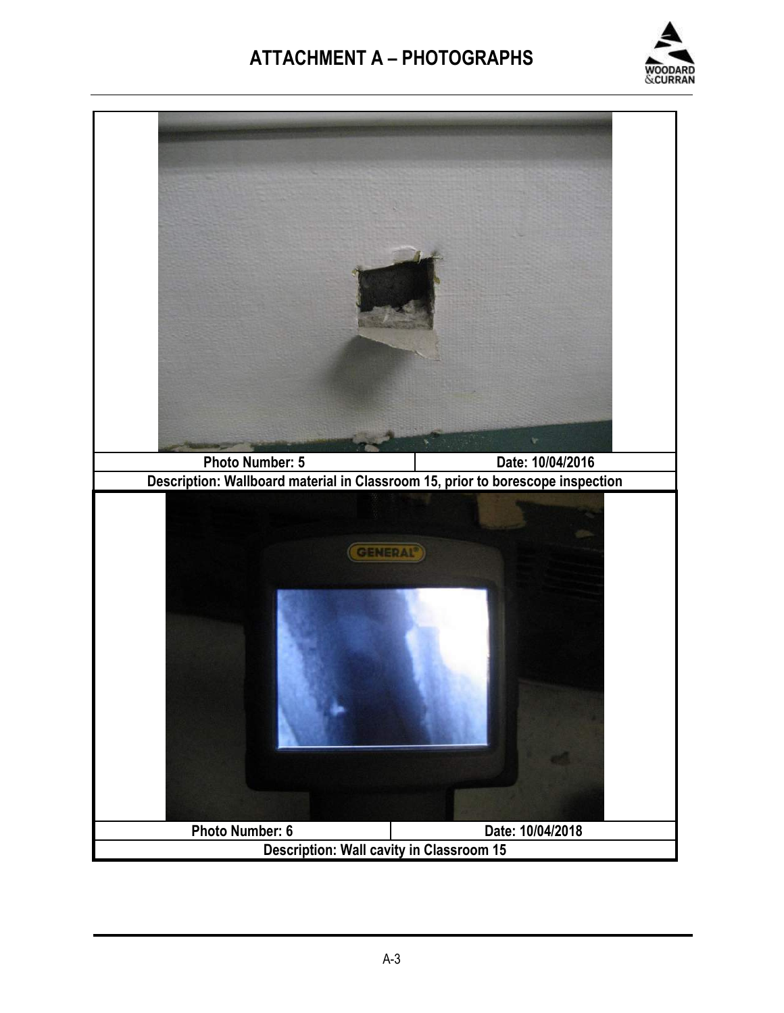

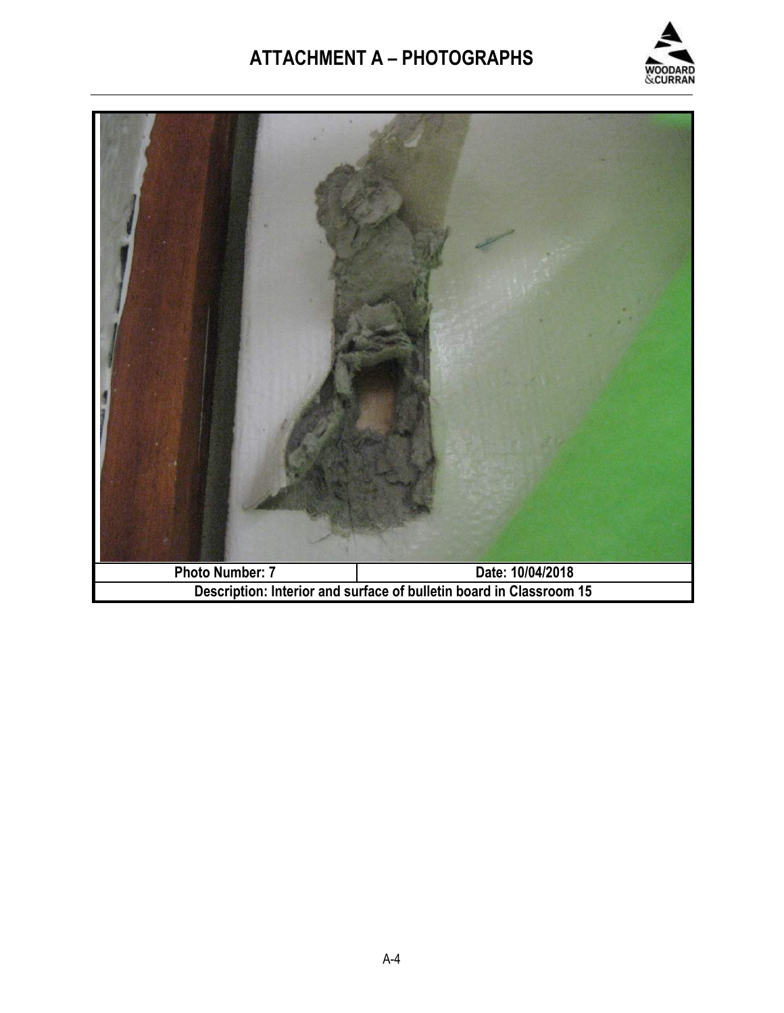

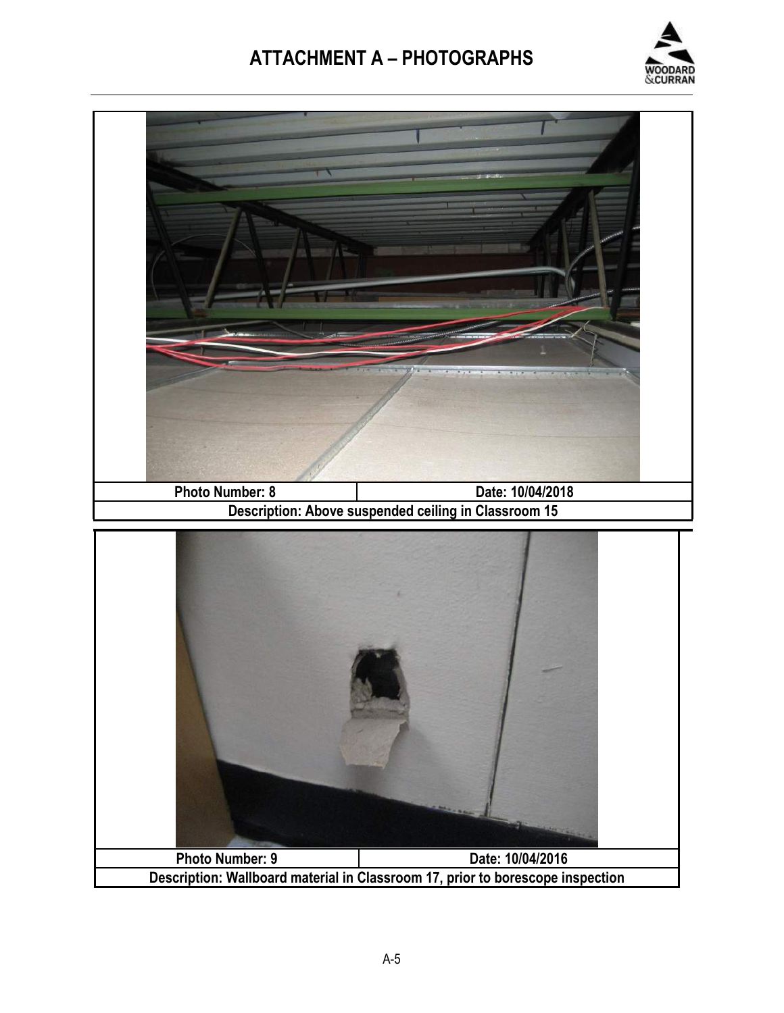![](_page_9_Picture_1.jpeg)

![](_page_9_Picture_2.jpeg)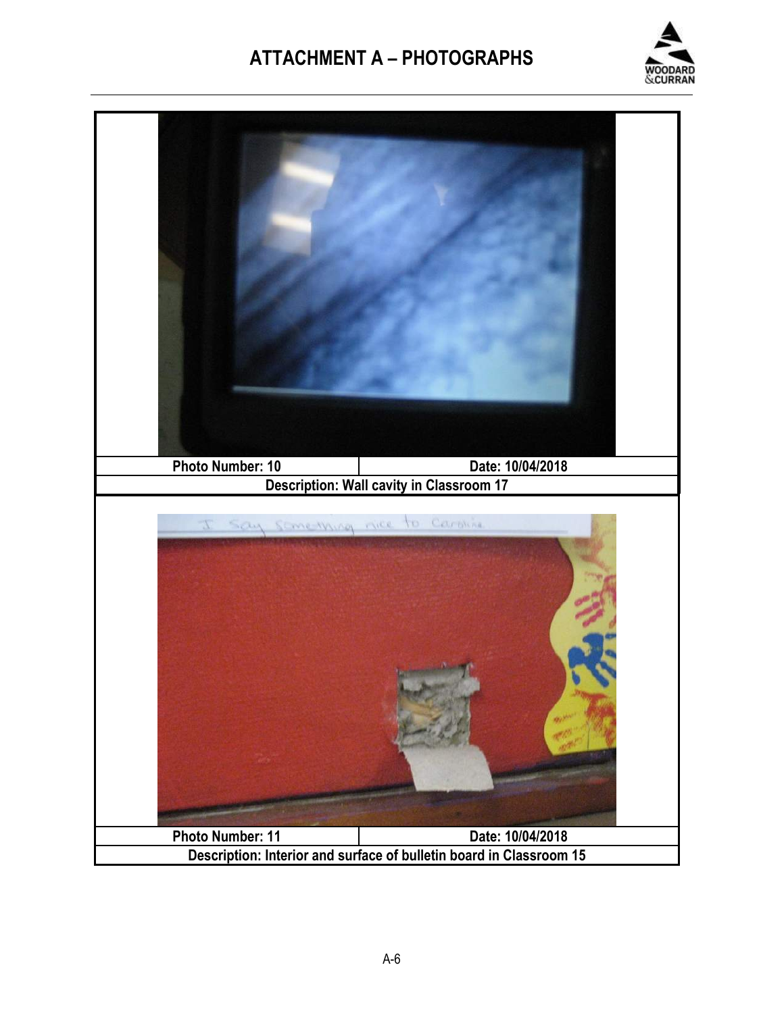![](_page_10_Picture_1.jpeg)

![](_page_10_Picture_2.jpeg)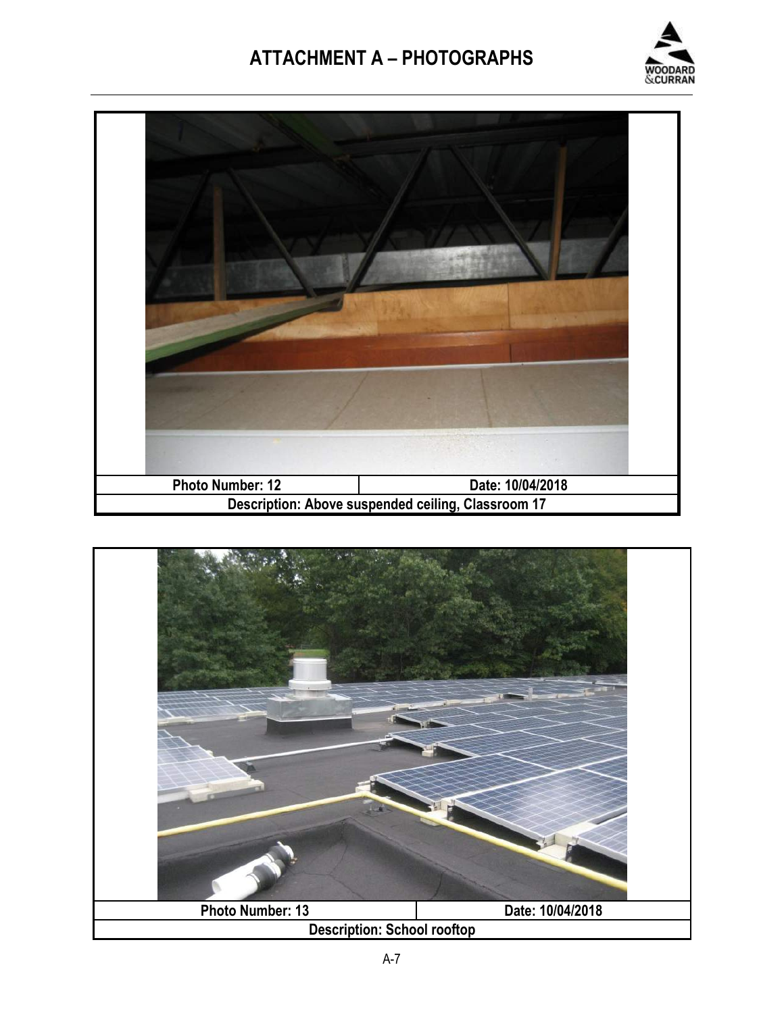![](_page_11_Picture_1.jpeg)

![](_page_11_Picture_2.jpeg)

![](_page_11_Picture_3.jpeg)